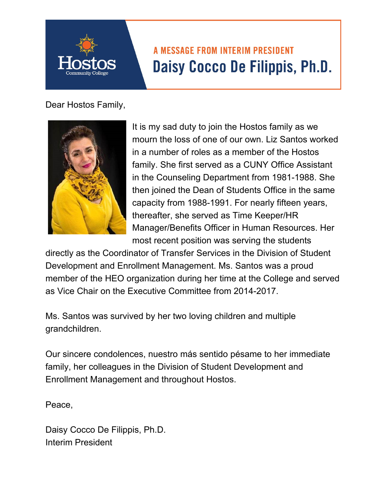## **A MESSAGE FROM INTERIM PRESIDENT** Daisy Cocco De Filippis, Ph.D.

Dear Hostos Family,



It is my sad duty to join the Hostos family as we mourn the loss of one of our own. Liz Santos worked in a number of roles as a member of the Hostos family. She first served as a CUNY Office Assistant in the Counseling Department from 1981-1988. She then joined the Dean of Students Office in the same capacity from 1988-1991. For nearly fifteen years, thereafter, she served as Time Keeper/HR Manager/Benefits Officer in Human Resources. Her most recent position was serving the students

directly as the Coordinator of Transfer Services in the Division of Student Development and Enrollment Management. Ms. Santos was a proud member of the HEO organization during her time at the College and served as Vice Chair on the Executive Committee from 2014-2017.

Ms. Santos was survived by her two loving children and multiple grandchildren.

Our sincere condolences, nuestro más sentido pésame to her immediate family, her colleagues in the Division of Student Development and Enrollment Management and throughout Hostos.

Peace,

Daisy Cocco De Filippis, Ph.D. Interim President